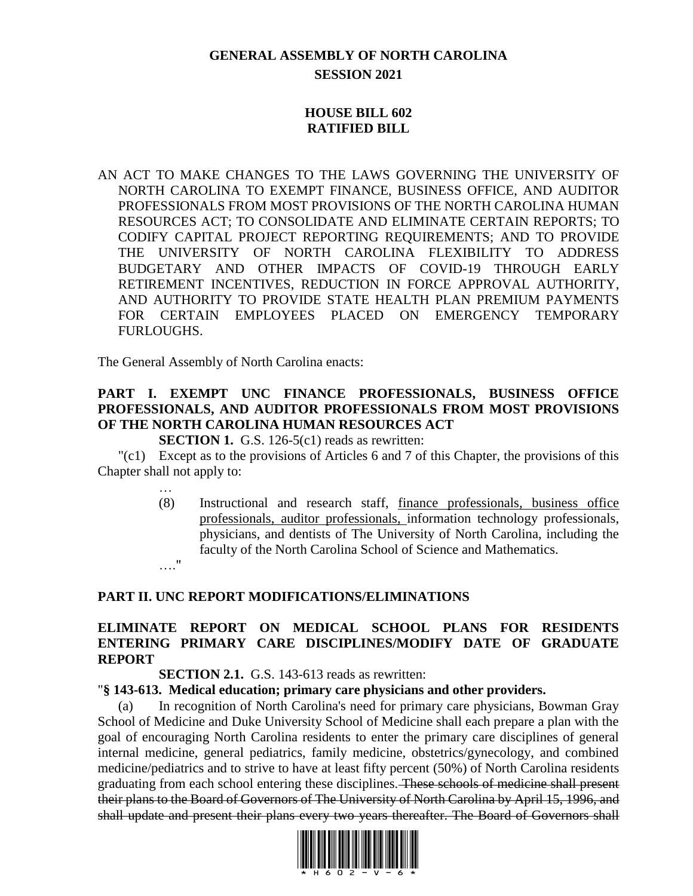# **GENERAL ASSEMBLY OF NORTH CAROLINA SESSION 2021**

## **HOUSE BILL 602 RATIFIED BILL**

AN ACT TO MAKE CHANGES TO THE LAWS GOVERNING THE UNIVERSITY OF NORTH CAROLINA TO EXEMPT FINANCE, BUSINESS OFFICE, AND AUDITOR PROFESSIONALS FROM MOST PROVISIONS OF THE NORTH CAROLINA HUMAN RESOURCES ACT; TO CONSOLIDATE AND ELIMINATE CERTAIN REPORTS; TO CODIFY CAPITAL PROJECT REPORTING REQUIREMENTS; AND TO PROVIDE THE UNIVERSITY OF NORTH CAROLINA FLEXIBILITY TO ADDRESS BUDGETARY AND OTHER IMPACTS OF COVID-19 THROUGH EARLY RETIREMENT INCENTIVES, REDUCTION IN FORCE APPROVAL AUTHORITY, AND AUTHORITY TO PROVIDE STATE HEALTH PLAN PREMIUM PAYMENTS FOR CERTAIN EMPLOYEES PLACED ON EMERGENCY TEMPORARY FURLOUGHS.

The General Assembly of North Carolina enacts:

# **PART I. EXEMPT UNC FINANCE PROFESSIONALS, BUSINESS OFFICE PROFESSIONALS, AND AUDITOR PROFESSIONALS FROM MOST PROVISIONS OF THE NORTH CAROLINA HUMAN RESOURCES ACT**

**SECTION 1.** G.S. 126-5(c1) reads as rewritten:

"(c1) Except as to the provisions of Articles 6 and 7 of this Chapter, the provisions of this Chapter shall not apply to:

…

(8) Instructional and research staff, finance professionals, business office professionals, auditor professionals, information technology professionals, physicians, and dentists of The University of North Carolina, including the faculty of the North Carolina School of Science and Mathematics. …."

## **PART II. UNC REPORT MODIFICATIONS/ELIMINATIONS**

# **ELIMINATE REPORT ON MEDICAL SCHOOL PLANS FOR RESIDENTS ENTERING PRIMARY CARE DISCIPLINES/MODIFY DATE OF GRADUATE REPORT**

#### **SECTION 2.1.** G.S. 143-613 reads as rewritten:

#### "**§ 143-613. Medical education; primary care physicians and other providers.**

(a) In recognition of North Carolina's need for primary care physicians, Bowman Gray School of Medicine and Duke University School of Medicine shall each prepare a plan with the goal of encouraging North Carolina residents to enter the primary care disciplines of general internal medicine, general pediatrics, family medicine, obstetrics/gynecology, and combined medicine/pediatrics and to strive to have at least fifty percent (50%) of North Carolina residents graduating from each school entering these disciplines. These schools of medicine shall present their plans to the Board of Governors of The University of North Carolina by April 15, 1996, and shall update and present their plans every two years thereafter. The Board of Governors shall

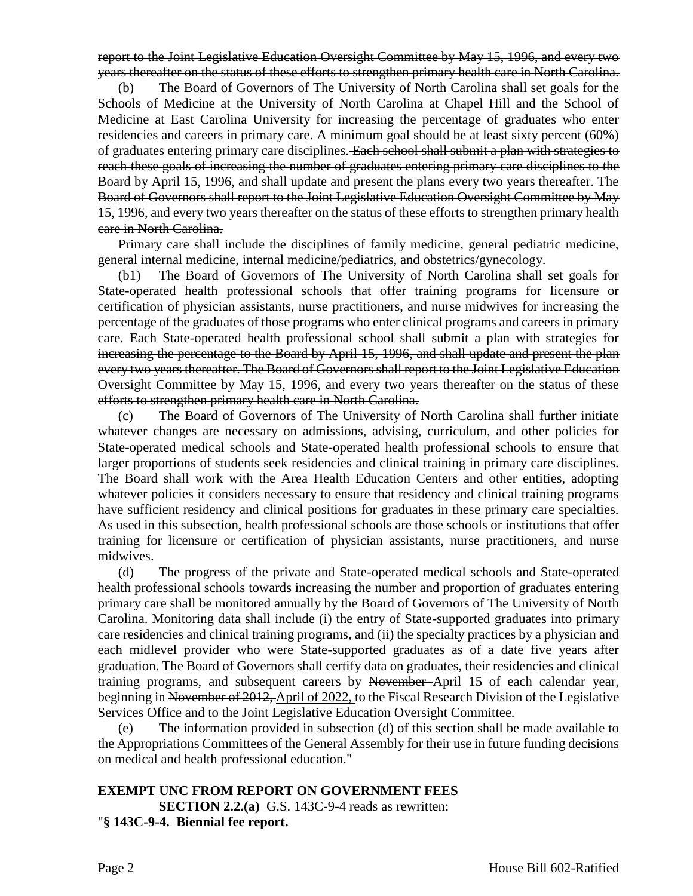report to the Joint Legislative Education Oversight Committee by May 15, 1996, and every two years thereafter on the status of these efforts to strengthen primary health care in North Carolina.

(b) The Board of Governors of The University of North Carolina shall set goals for the Schools of Medicine at the University of North Carolina at Chapel Hill and the School of Medicine at East Carolina University for increasing the percentage of graduates who enter residencies and careers in primary care. A minimum goal should be at least sixty percent (60%) of graduates entering primary care disciplines. Each school shall submit a plan with strategies to reach these goals of increasing the number of graduates entering primary care disciplines to the Board by April 15, 1996, and shall update and present the plans every two years thereafter. The Board of Governors shall report to the Joint Legislative Education Oversight Committee by May 15, 1996, and every two years thereafter on the status of these efforts to strengthen primary health care in North Carolina.

Primary care shall include the disciplines of family medicine, general pediatric medicine, general internal medicine, internal medicine/pediatrics, and obstetrics/gynecology.

(b1) The Board of Governors of The University of North Carolina shall set goals for State-operated health professional schools that offer training programs for licensure or certification of physician assistants, nurse practitioners, and nurse midwives for increasing the percentage of the graduates of those programs who enter clinical programs and careers in primary care. Each State-operated health professional school shall submit a plan with strategies for increasing the percentage to the Board by April 15, 1996, and shall update and present the plan every two years thereafter. The Board of Governors shall report to the Joint Legislative Education Oversight Committee by May 15, 1996, and every two years thereafter on the status of these efforts to strengthen primary health care in North Carolina.

(c) The Board of Governors of The University of North Carolina shall further initiate whatever changes are necessary on admissions, advising, curriculum, and other policies for State-operated medical schools and State-operated health professional schools to ensure that larger proportions of students seek residencies and clinical training in primary care disciplines. The Board shall work with the Area Health Education Centers and other entities, adopting whatever policies it considers necessary to ensure that residency and clinical training programs have sufficient residency and clinical positions for graduates in these primary care specialties. As used in this subsection, health professional schools are those schools or institutions that offer training for licensure or certification of physician assistants, nurse practitioners, and nurse midwives.

(d) The progress of the private and State-operated medical schools and State-operated health professional schools towards increasing the number and proportion of graduates entering primary care shall be monitored annually by the Board of Governors of The University of North Carolina. Monitoring data shall include (i) the entry of State-supported graduates into primary care residencies and clinical training programs, and (ii) the specialty practices by a physician and each midlevel provider who were State-supported graduates as of a date five years after graduation. The Board of Governors shall certify data on graduates, their residencies and clinical training programs, and subsequent careers by November April 15 of each calendar year, beginning in November of 2012, April of 2022, to the Fiscal Research Division of the Legislative Services Office and to the Joint Legislative Education Oversight Committee.

(e) The information provided in subsection (d) of this section shall be made available to the Appropriations Committees of the General Assembly for their use in future funding decisions on medical and health professional education."

#### **EXEMPT UNC FROM REPORT ON GOVERNMENT FEES SECTION 2.2.(a)** G.S. 143C-9-4 reads as rewritten: "**§ 143C-9-4. Biennial fee report.**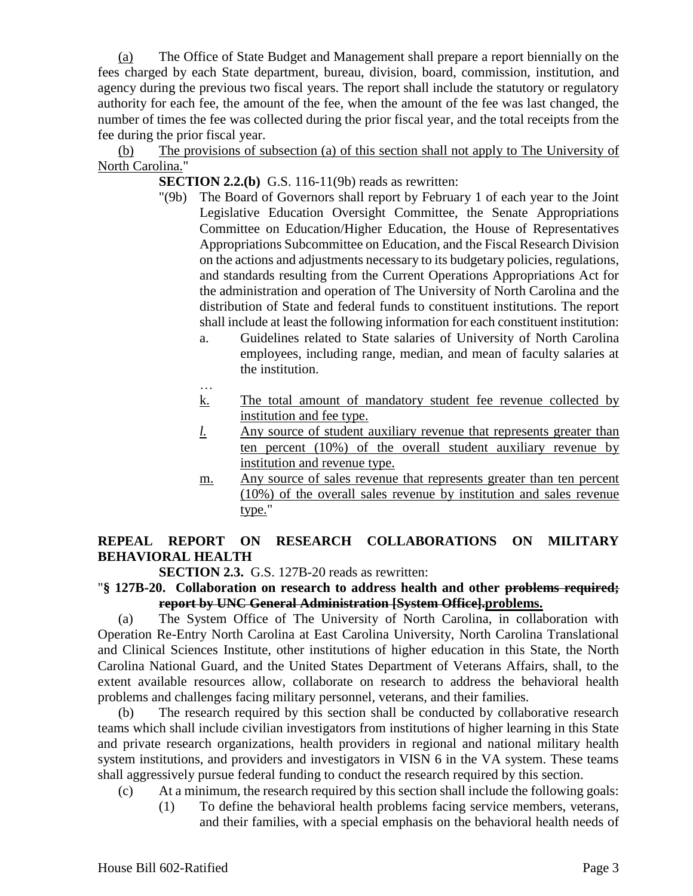(a) The Office of State Budget and Management shall prepare a report biennially on the fees charged by each State department, bureau, division, board, commission, institution, and agency during the previous two fiscal years. The report shall include the statutory or regulatory authority for each fee, the amount of the fee, when the amount of the fee was last changed, the number of times the fee was collected during the prior fiscal year, and the total receipts from the fee during the prior fiscal year.

(b) The provisions of subsection (a) of this section shall not apply to The University of North Carolina."

**SECTION 2.2.(b)** G.S. 116-11(9b) reads as rewritten:

- "(9b) The Board of Governors shall report by February 1 of each year to the Joint Legislative Education Oversight Committee, the Senate Appropriations Committee on Education/Higher Education, the House of Representatives Appropriations Subcommittee on Education, and the Fiscal Research Division on the actions and adjustments necessary to its budgetary policies, regulations, and standards resulting from the Current Operations Appropriations Act for the administration and operation of The University of North Carolina and the distribution of State and federal funds to constituent institutions. The report shall include at least the following information for each constituent institution:
	- a. Guidelines related to State salaries of University of North Carolina employees, including range, median, and mean of faculty salaries at the institution.
	- … k. The total amount of mandatory student fee revenue collected by institution and fee type.
	- *l.* Any source of student auxiliary revenue that represents greater than ten percent (10%) of the overall student auxiliary revenue by institution and revenue type.
	- m. Any source of sales revenue that represents greater than ten percent (10%) of the overall sales revenue by institution and sales revenue type."

# **REPEAL REPORT ON RESEARCH COLLABORATIONS ON MILITARY BEHAVIORAL HEALTH**

**SECTION 2.3.** G.S. 127B-20 reads as rewritten:

## "**§ 127B-20. Collaboration on research to address health and other problems required; report by UNC General Administration [System Office].problems.**

(a) The System Office of The University of North Carolina, in collaboration with Operation Re-Entry North Carolina at East Carolina University, North Carolina Translational and Clinical Sciences Institute, other institutions of higher education in this State, the North Carolina National Guard, and the United States Department of Veterans Affairs, shall, to the extent available resources allow, collaborate on research to address the behavioral health problems and challenges facing military personnel, veterans, and their families.

(b) The research required by this section shall be conducted by collaborative research teams which shall include civilian investigators from institutions of higher learning in this State and private research organizations, health providers in regional and national military health system institutions, and providers and investigators in VISN 6 in the VA system. These teams shall aggressively pursue federal funding to conduct the research required by this section.

- (c) At a minimum, the research required by this section shall include the following goals:
	- (1) To define the behavioral health problems facing service members, veterans, and their families, with a special emphasis on the behavioral health needs of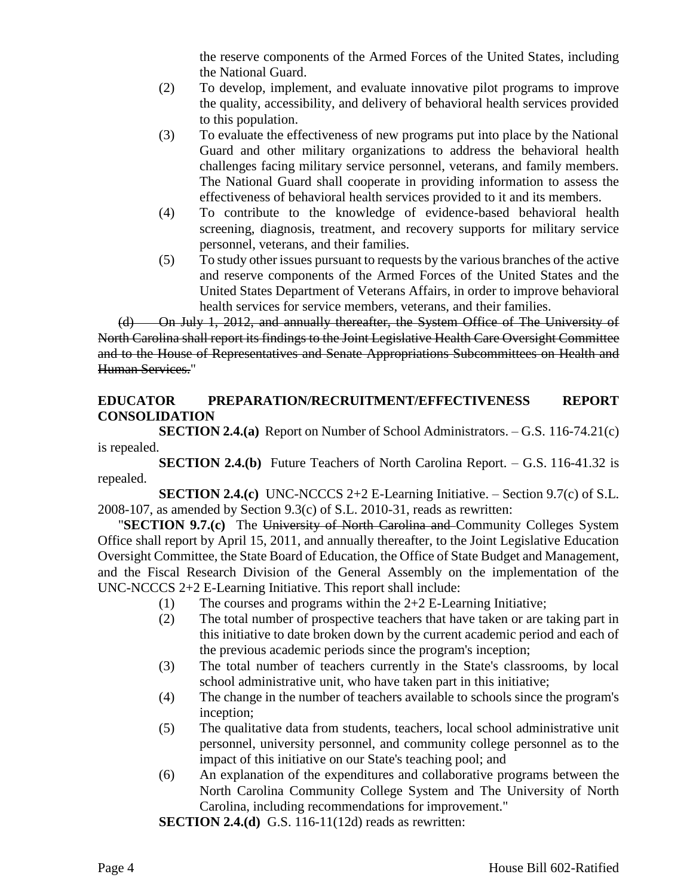the reserve components of the Armed Forces of the United States, including the National Guard.

- (2) To develop, implement, and evaluate innovative pilot programs to improve the quality, accessibility, and delivery of behavioral health services provided to this population.
- (3) To evaluate the effectiveness of new programs put into place by the National Guard and other military organizations to address the behavioral health challenges facing military service personnel, veterans, and family members. The National Guard shall cooperate in providing information to assess the effectiveness of behavioral health services provided to it and its members.
- (4) To contribute to the knowledge of evidence-based behavioral health screening, diagnosis, treatment, and recovery supports for military service personnel, veterans, and their families.
- (5) To study other issues pursuant to requests by the various branches of the active and reserve components of the Armed Forces of the United States and the United States Department of Veterans Affairs, in order to improve behavioral health services for service members, veterans, and their families.

(d) On July 1, 2012, and annually thereafter, the System Office of The University of North Carolina shall report its findings to the Joint Legislative Health Care Oversight Committee and to the House of Representatives and Senate Appropriations Subcommittees on Health and Human Services."

## **EDUCATOR PREPARATION/RECRUITMENT/EFFECTIVENESS REPORT CONSOLIDATION**

**SECTION 2.4.(a)** Report on Number of School Administrators. – G.S. 116-74.21(c) is repealed.

**SECTION 2.4.(b)** Future Teachers of North Carolina Report. – G.S. 116-41.32 is repealed.

**SECTION 2.4.(c)** UNC-NCCCS 2+2 E-Learning Initiative. – Section 9.7(c) of S.L. 2008-107, as amended by Section 9.3(c) of S.L. 2010-31, reads as rewritten:

"**SECTION 9.7.(c)** The University of North Carolina and Community Colleges System Office shall report by April 15, 2011, and annually thereafter, to the Joint Legislative Education Oversight Committee, the State Board of Education, the Office of State Budget and Management, and the Fiscal Research Division of the General Assembly on the implementation of the UNC-NCCCS 2+2 E-Learning Initiative. This report shall include:

- (1) The courses and programs within the 2+2 E-Learning Initiative;
- (2) The total number of prospective teachers that have taken or are taking part in this initiative to date broken down by the current academic period and each of the previous academic periods since the program's inception;
- (3) The total number of teachers currently in the State's classrooms, by local school administrative unit, who have taken part in this initiative;
- (4) The change in the number of teachers available to schools since the program's inception;
- (5) The qualitative data from students, teachers, local school administrative unit personnel, university personnel, and community college personnel as to the impact of this initiative on our State's teaching pool; and
- (6) An explanation of the expenditures and collaborative programs between the North Carolina Community College System and The University of North Carolina, including recommendations for improvement."

**SECTION 2.4.(d)** G.S. 116-11(12d) reads as rewritten: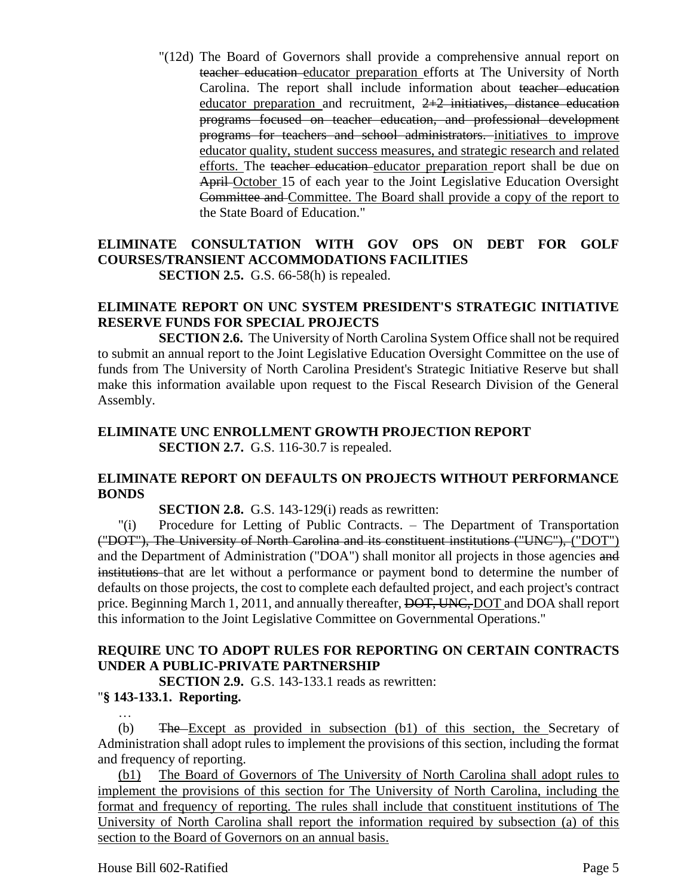"(12d) The Board of Governors shall provide a comprehensive annual report on teacher education educator preparation efforts at The University of North Carolina. The report shall include information about teacher education educator preparation and recruitment,  $2+2$  initiatives, distance education programs focused on teacher education, and professional development programs for teachers and school administrators. initiatives to improve educator quality, student success measures, and strategic research and related efforts. The teacher education educator preparation report shall be due on April October 15 of each year to the Joint Legislative Education Oversight Committee and Committee. The Board shall provide a copy of the report to the State Board of Education."

#### **ELIMINATE CONSULTATION WITH GOV OPS ON DEBT FOR GOLF COURSES/TRANSIENT ACCOMMODATIONS FACILITIES SECTION 2.5.** G.S. 66-58(h) is repealed.

#### **ELIMINATE REPORT ON UNC SYSTEM PRESIDENT'S STRATEGIC INITIATIVE RESERVE FUNDS FOR SPECIAL PROJECTS**

**SECTION 2.6.** The University of North Carolina System Office shall not be required to submit an annual report to the Joint Legislative Education Oversight Committee on the use of funds from The University of North Carolina President's Strategic Initiative Reserve but shall make this information available upon request to the Fiscal Research Division of the General Assembly.

## **ELIMINATE UNC ENROLLMENT GROWTH PROJECTION REPORT SECTION 2.7.** G.S. 116-30.7 is repealed.

## **ELIMINATE REPORT ON DEFAULTS ON PROJECTS WITHOUT PERFORMANCE BONDS**

**SECTION 2.8.** G.S. 143-129(i) reads as rewritten:

"(i) Procedure for Letting of Public Contracts. – The Department of Transportation ("DOT"), The University of North Carolina and its constituent institutions ("UNC"), ("DOT") and the Department of Administration ("DOA") shall monitor all projects in those agencies and institutions that are let without a performance or payment bond to determine the number of defaults on those projects, the cost to complete each defaulted project, and each project's contract price. Beginning March 1, 2011, and annually thereafter, DOT, UNC, DOT and DOA shall report this information to the Joint Legislative Committee on Governmental Operations."

# **REQUIRE UNC TO ADOPT RULES FOR REPORTING ON CERTAIN CONTRACTS UNDER A PUBLIC-PRIVATE PARTNERSHIP**

**SECTION 2.9.** G.S. 143-133.1 reads as rewritten:

# "**§ 143-133.1. Reporting.**

… (b) The Except as provided in subsection (b1) of this section, the Secretary of Administration shall adopt rules to implement the provisions of this section, including the format and frequency of reporting.

(b1) The Board of Governors of The University of North Carolina shall adopt rules to implement the provisions of this section for The University of North Carolina, including the format and frequency of reporting. The rules shall include that constituent institutions of The University of North Carolina shall report the information required by subsection (a) of this section to the Board of Governors on an annual basis.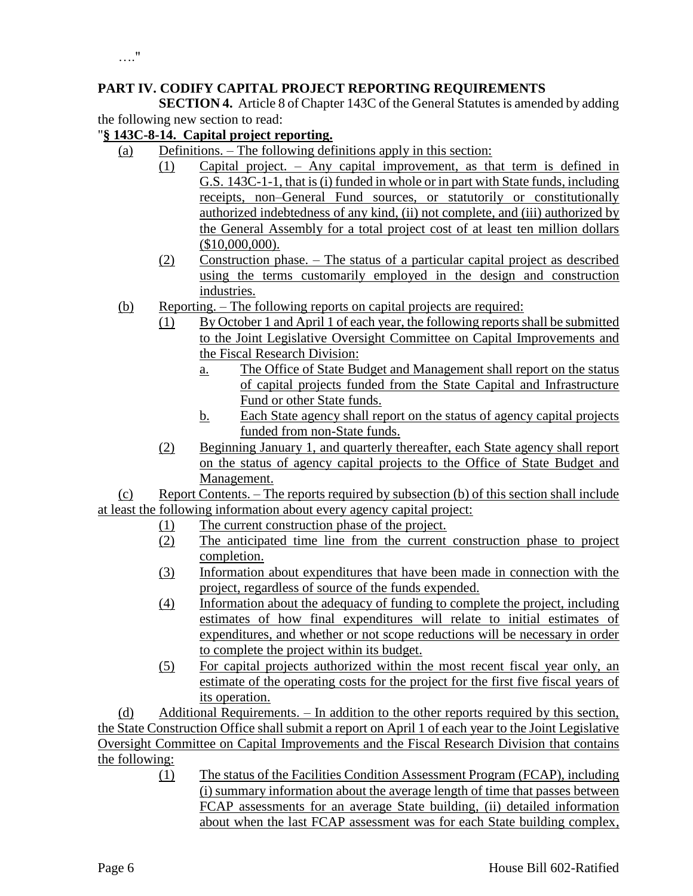# **PART IV. CODIFY CAPITAL PROJECT REPORTING REQUIREMENTS**

**SECTION 4.** Article 8 of Chapter 143C of the General Statutes is amended by adding the following new section to read:

### "**§ 143C-8-14. Capital project reporting.**

- (a) Definitions. The following definitions apply in this section:
	- (1) Capital project. Any capital improvement, as that term is defined in G.S. 143C-1-1, that is (i) funded in whole or in part with State funds, including receipts, non–General Fund sources, or statutorily or constitutionally authorized indebtedness of any kind, (ii) not complete, and (iii) authorized by the General Assembly for a total project cost of at least ten million dollars (\$10,000,000).
	- (2) Construction phase. The status of a particular capital project as described using the terms customarily employed in the design and construction industries.
- (b) Reporting. The following reports on capital projects are required:
	- (1) By October 1 and April 1 of each year, the following reports shall be submitted to the Joint Legislative Oversight Committee on Capital Improvements and the Fiscal Research Division:
		- a. The Office of State Budget and Management shall report on the status of capital projects funded from the State Capital and Infrastructure Fund or other State funds.
		- b. Each State agency shall report on the status of agency capital projects funded from non-State funds.
	- (2) Beginning January 1, and quarterly thereafter, each State agency shall report on the status of agency capital projects to the Office of State Budget and Management.

(c) Report Contents. – The reports required by subsection (b) of this section shall include at least the following information about every agency capital project:

- (1) The current construction phase of the project.
- (2) The anticipated time line from the current construction phase to project completion.
- (3) Information about expenditures that have been made in connection with the project, regardless of source of the funds expended.
- (4) Information about the adequacy of funding to complete the project, including estimates of how final expenditures will relate to initial estimates of expenditures, and whether or not scope reductions will be necessary in order to complete the project within its budget.
- (5) For capital projects authorized within the most recent fiscal year only, an estimate of the operating costs for the project for the first five fiscal years of its operation.

(d) Additional Requirements. – In addition to the other reports required by this section, the State Construction Office shall submit a report on April 1 of each year to the Joint Legislative Oversight Committee on Capital Improvements and the Fiscal Research Division that contains the following:

> (1) The status of the Facilities Condition Assessment Program (FCAP), including (i) summary information about the average length of time that passes between FCAP assessments for an average State building, (ii) detailed information about when the last FCAP assessment was for each State building complex,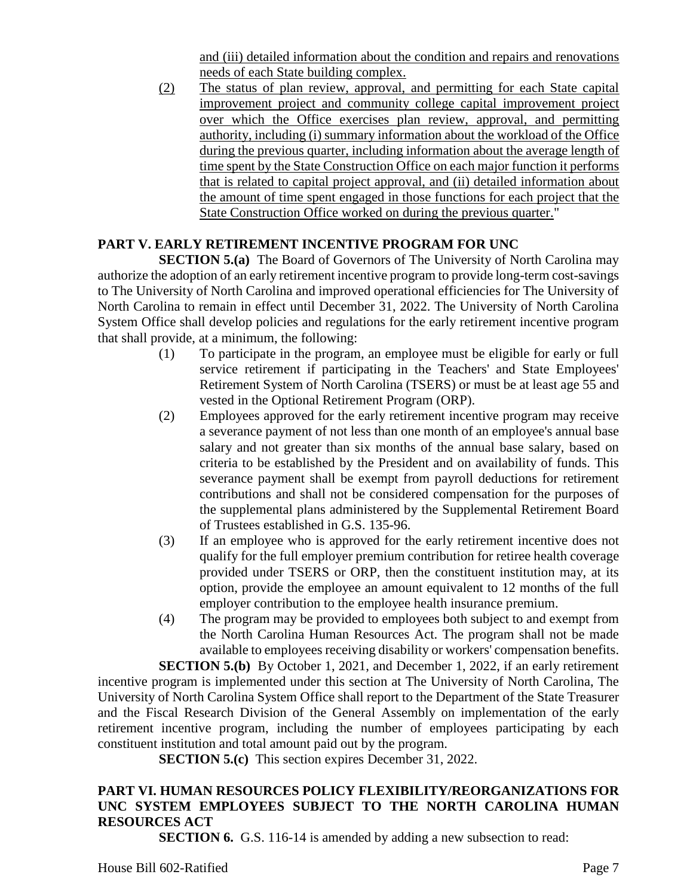and (iii) detailed information about the condition and repairs and renovations needs of each State building complex.

(2) The status of plan review, approval, and permitting for each State capital improvement project and community college capital improvement project over which the Office exercises plan review, approval, and permitting authority, including (i) summary information about the workload of the Office during the previous quarter, including information about the average length of time spent by the State Construction Office on each major function it performs that is related to capital project approval, and (ii) detailed information about the amount of time spent engaged in those functions for each project that the State Construction Office worked on during the previous quarter."

# **PART V. EARLY RETIREMENT INCENTIVE PROGRAM FOR UNC**

**SECTION 5.(a)** The Board of Governors of The University of North Carolina may authorize the adoption of an early retirement incentive program to provide long-term cost-savings to The University of North Carolina and improved operational efficiencies for The University of North Carolina to remain in effect until December 31, 2022. The University of North Carolina System Office shall develop policies and regulations for the early retirement incentive program that shall provide, at a minimum, the following:

- (1) To participate in the program, an employee must be eligible for early or full service retirement if participating in the Teachers' and State Employees' Retirement System of North Carolina (TSERS) or must be at least age 55 and vested in the Optional Retirement Program (ORP).
- (2) Employees approved for the early retirement incentive program may receive a severance payment of not less than one month of an employee's annual base salary and not greater than six months of the annual base salary, based on criteria to be established by the President and on availability of funds. This severance payment shall be exempt from payroll deductions for retirement contributions and shall not be considered compensation for the purposes of the supplemental plans administered by the Supplemental Retirement Board of Trustees established in G.S. 135-96.
- (3) If an employee who is approved for the early retirement incentive does not qualify for the full employer premium contribution for retiree health coverage provided under TSERS or ORP, then the constituent institution may, at its option, provide the employee an amount equivalent to 12 months of the full employer contribution to the employee health insurance premium.
- (4) The program may be provided to employees both subject to and exempt from the North Carolina Human Resources Act. The program shall not be made available to employees receiving disability or workers' compensation benefits.

**SECTION 5.(b)** By October 1, 2021, and December 1, 2022, if an early retirement incentive program is implemented under this section at The University of North Carolina, The University of North Carolina System Office shall report to the Department of the State Treasurer and the Fiscal Research Division of the General Assembly on implementation of the early retirement incentive program, including the number of employees participating by each constituent institution and total amount paid out by the program.

**SECTION 5.(c)** This section expires December 31, 2022.

# **PART VI. HUMAN RESOURCES POLICY FLEXIBILITY/REORGANIZATIONS FOR UNC SYSTEM EMPLOYEES SUBJECT TO THE NORTH CAROLINA HUMAN RESOURCES ACT**

**SECTION 6.** G.S. 116-14 is amended by adding a new subsection to read: